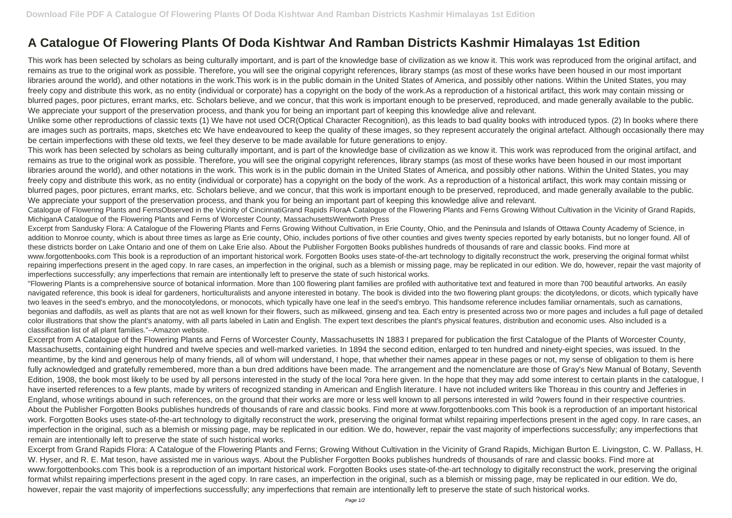This work has been selected by scholars as being culturally important, and is part of the knowledge base of civilization as we know it. This work was reproduced from the original artifact, and remains as true to the original work as possible. Therefore, you will see the original copyright references, library stamps (as most of these works have been housed in our most important libraries around the world), and other notations in the work.This work is in the public domain in the United States of America, and possibly other nations. Within the United States, you may freely copy and distribute this work, as no entity (individual or corporate) has a copyright on the body of the work.As a reproduction of a historical artifact, this work may contain missing or blurred pages, poor pictures, errant marks, etc. Scholars believe, and we concur, that this work is important enough to be preserved, reproduced, and made generally available to the public. We appreciate your support of the preservation process, and thank you for being an important part of keeping this knowledge alive and relevant.

## **A Catalogue Of Flowering Plants Of Doda Kishtwar And Ramban Districts Kashmir Himalayas 1st Edition**

This work has been selected by scholars as being culturally important, and is part of the knowledge base of civilization as we know it. This work was reproduced from the original artifact, and remains as true to the original work as possible. Therefore, you will see the original copyright references, library stamps (as most of these works have been housed in our most important libraries around the world), and other notations in the work. This work is in the public domain in the United States of America, and possibly other nations. Within the United States, you may freely copy and distribute this work, as no entity (individual or corporate) has a copyright on the body of the work. As a reproduction of a historical artifact, this work may contain missing or blurred pages, poor pictures, errant marks, etc. Scholars believe, and we concur, that this work is important enough to be preserved, reproduced, and made generally available to the public. We appreciate your support of the preservation process, and thank you for being an important part of keeping this knowledge alive and relevant.

Unlike some other reproductions of classic texts (1) We have not used OCR(Optical Character Recognition), as this leads to bad quality books with introduced typos. (2) In books where there are images such as portraits, maps, sketches etc We have endeavoured to keep the quality of these images, so they represent accurately the original artefact. Although occasionally there may be certain imperfections with these old texts, we feel they deserve to be made available for future generations to enjoy.

Catalogue of Flowering Plants and FernsObserved in the Vicinity of CincinnatiGrand Rapids FloraA Catalogue of the Flowering Plants and Ferns Growing Without Cultivation in the Vicinity of Grand Rapids, MichiganA Catalogue of the Flowering Plants and Ferns of Worcester County, MassachusettsWentworth Press

Excerpt from Sandusky Flora: A Catalogue of the Flowering Plants and Ferns Growing Without Cultivation, in Erie County, Ohio, and the Peninsula and Islands of Ottawa County Academy of Science, in addition to Monroe county, which is about three times as large as Erie county, Ohio, includes portions of five other counties and gives twenty species reported by early botanists, but no longer found. All of these districts border on Lake Ontario and one of them on Lake Erie also. About the Publisher Forgotten Books publishes hundreds of thousands of rare and classic books. Find more at www.forgottenbooks.com This book is a reproduction of an important historical work. Forgotten Books uses state-of-the-art technology to digitally reconstruct the work, preserving the original format whilst repairing imperfections present in the aged copy. In rare cases, an imperfection in the original, such as a blemish or missing page, may be replicated in our edition. We do, however, repair the vast majority of imperfections successfully; any imperfections that remain are intentionally left to preserve the state of such historical works.

"Flowering Plants is a comprehensive source of botanical information. More than 100 flowering plant families are profiled with authoritative text and featured in more than 700 beautiful artworks. An easily navigated reference, this book is ideal for gardeners, horticulturalists and anyone interested in botany. The book is divided into the two flowering plant groups: the dicotyledons, or dicots, which typically have two leaves in the seed's embryo, and the monocotyledons, or monocots, which typically have one leaf in the seed's embryo. This handsome reference includes familiar ornamentals, such as carnations, begonias and daffodils, as well as plants that are not as well known for their flowers, such as milkweed, ginseng and tea. Each entry is presented across two or more pages and includes a full page of detailed color illustrations that show the plant's anatomy, with all parts labeled in Latin and English. The expert text describes the plant's physical features, distribution and economic uses. Also included is a classification list of all plant families."--Amazon website.

Excerpt from A Catalogue of the Flowering Plants and Ferns of Worcester County, Massachusetts IN 1883 I prepared for publication the first Catalogue of the Plants of Worcester County, Massachusetts, containing eight hundred and twelve species and well-marked varieties. In 1894 the second edition, enlarged to ten hundred and ninety-eight species, was issued. In the meantime, by the kind and generous help of many friends, all of whom will understand, I hope, that whether their names appear in these pages or not, my sense of obligation to them is here fully acknowledged and gratefully remembered, more than a bun dred additions have been made. The arrangement and the nomenclature are those of Gray's New Manual of Botany, Seventh Edition, 1908, the book most likely to be used by all persons interested in the study of the local ?ora here given. In the hope that they may add some interest to certain plants in the catalogue, I have inserted references to a few plants, made by writers of recognized standing in American and English literature. I have not included writers like Thoreau in this country and Jefferies in England, whose writings abound in such references, on the ground that their works are more or less well known to all persons interested in wild ?owers found in their respective countries. About the Publisher Forgotten Books publishes hundreds of thousands of rare and classic books. Find more at www.forgottenbooks.com This book is a reproduction of an important historical work. Forgotten Books uses state-of-the-art technology to digitally reconstruct the work, preserving the original format whilst repairing imperfections present in the aged copy. In rare cases, an imperfection in the original, such as a blemish or missing page, may be replicated in our edition. We do, however, repair the vast majority of imperfections successfully; any imperfections that remain are intentionally left to preserve the state of such historical works.

Excerpt from Grand Rapids Flora: A Catalogue of the Flowering Plants and Ferns; Growing Without Cultivation in the Vicinity of Grand Rapids, Michigan Burton E. Livingston, C. W. Pallass, H. W. Hyser, and R. E. Mat teson, have assisted me in various ways. About the Publisher Forgotten Books publishes hundreds of thousands of rare and classic books. Find more at www.forgottenbooks.com This book is a reproduction of an important historical work. Forgotten Books uses state-of-the-art technology to digitally reconstruct the work, preserving the original format whilst repairing imperfections present in the aged copy. In rare cases, an imperfection in the original, such as a blemish or missing page, may be replicated in our edition. We do, however, repair the vast majority of imperfections successfully; any imperfections that remain are intentionally left to preserve the state of such historical works.